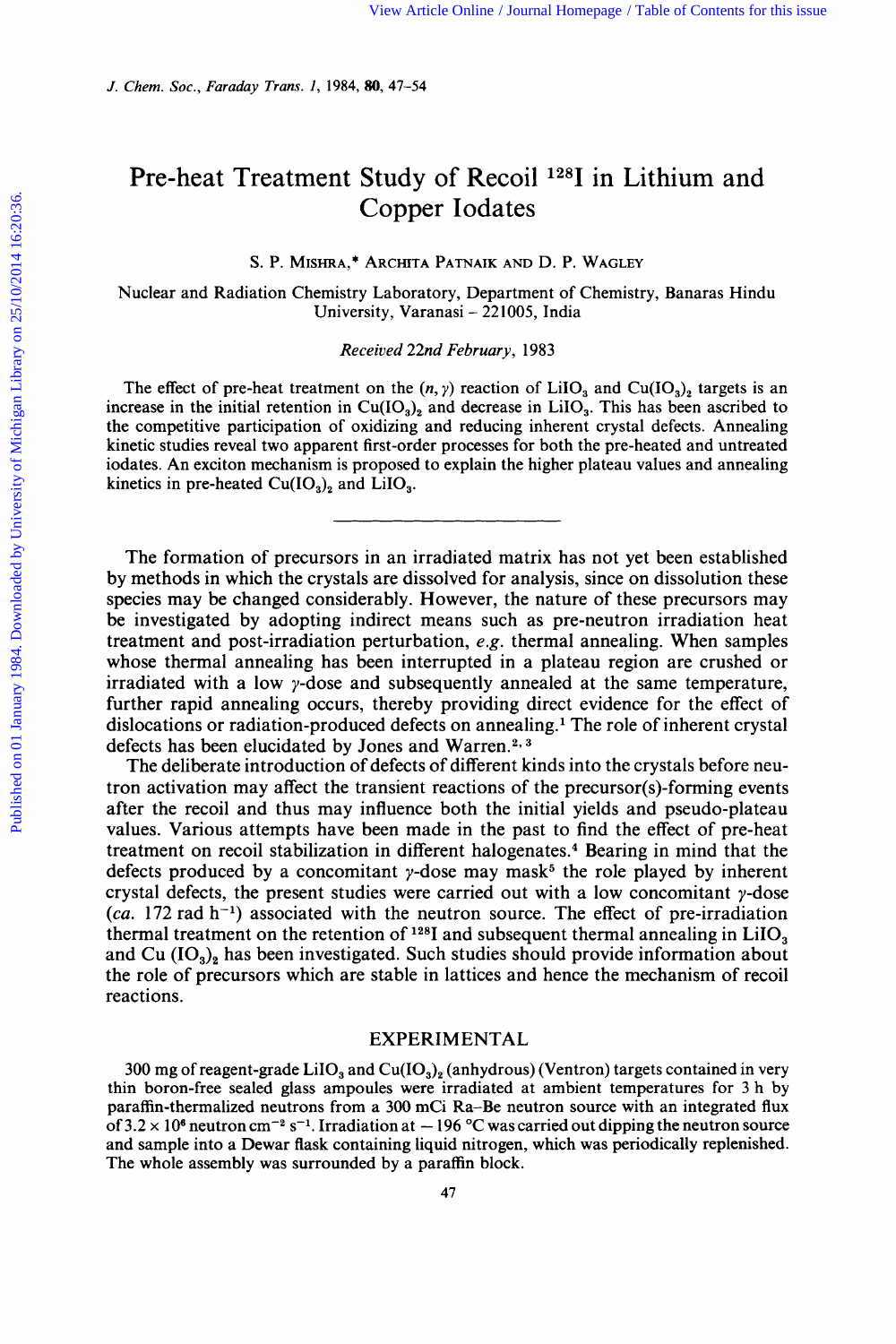# Pre-heat Treatment Study of Recoil 1281 in Lithium and Copper Iodates View Article Online / Journal Homepage / Table of Contents for this issue<br>**80, 47-54**<br>Study of Recoil <sup>128</sup>I in Lithium and<br>Copper Iodates<br>Archita Patnaik and D. P. Wagley Copper Iodates<br>
EHRA,\* ARCHITA PATNAIK AND D. P. WAGLEY<br>
EHRA,\* ARCHITA PATNAIK AND D. P. WAGLEY<br>
EMISTRIPONMENT CHEMISTRY, Banaras Hindu<br>
University, Varanasi - 221005, India<br>
Received 22nd February 1983

## S. P. MISHRA,\* ARCHITA PATNAIK AND D. P. WAGLEY

Nuclear and Radiation Chemistry Laboratory, Department of Chemistry, Banaras Hindu

Received 22nd **February,** 1983

S. P. MISHRA,\* ARCHITA PATNAIK AND D. P. WAGLEY<br>
Vuclear and Radiation Chemistry Laboratory, Department of Chemistry, Banaras Hindu<br>
University, Varanasi – 221005, India<br>
Received 22nd February, 1983<br>
The effect of pre-he increase in the initial retention in  $Cu(IO<sub>3</sub>)$ , and decrease in LiIO<sub>3</sub>. This has been ascribed to the competitive participation of oxidizing and reducing inherent crystal defects. Annealing kinetic studies reveal two apparent first-order processes for both the pre-heated and untreated iodates. An exciton mechanism is proposed to explain the higher plateau values and annealing kinetics in pre-heated  $Cu(IO<sub>3</sub>)<sub>2</sub>$  and  $LiIO<sub>3</sub>$ .

The formation of precursors in an irradiated matrix has not yet been established by methods in which the crystals are dissolved for analysis, since on dissolution these species may be changed considerably. However, the nature of these precursors may be investigated by adopting indirect means such as pre-neutron irradiation heat treatment and post-irradiation perturbation, *e.g.* thermal annealing. When samples whose thermal annealing has been interrupted in a plateau region are crushed or irradiated with a low  $\gamma$ -dose and subsequently annealed at the same temperature, further rapid annealing occurs, thereby providing direct evidence for the effect of dislocations or radiation-produced defects on annealing. The role of inherent crystal defects has been elucidated by Jones and Warren.<sup>2, 3</sup>

The deliberate introduction of defects of different kinds into the crystals before neutron activation may affect the transient reactions of the precursor(s)-forming events after the recoil and thus may influence both the initial yields and pseudo-plateau values. Various attempts have been made in the past to find the effect of pre-heat treatment on recoil stabilization in different halogenate^.^ Bearing in mind that the defects produced by a concomitant  $\gamma$ -dose may mask<sup>5</sup> the role played by inherent crystal defects, the present studies were carried out with a low concomitant  $\gamma$ -dose  $(ca. 172 rad h<sup>-1</sup>)$  associated with the neutron source. The effect of pre-irradiation thermal treatment on the retention of  $128$ I and subsequent thermal annealing in LiIO<sub>3</sub> and Cu  $(IO<sub>3</sub>)<sub>2</sub>$  has been investigated. Such studies should provide information about the role of precursors which are stable in lattices and hence the mechanism of recoil reactions.

# EXPERIMENTAL

300 mg of reagent-grade LiIO<sub>3</sub> and Cu(IO<sub>3</sub>)<sub>2</sub> (anhydrous) (Ventron) targets contained in very thin boron-free sealed glass ampoules were irradiated at ambient temperatures for 3 h by paraffin-thermalized neutrons from a 300 mCi Ra-Be neutron source with an integrated flux of  $3.2 \times 10^8$  neutron cm<sup>-2</sup> s<sup>-1</sup>. Irradiation at  $-196$  °C was carried out dipping the neutron source **EXPERIMENTAL**<br>300 mg of reagent-grade LiIO<sub>3</sub> and Cu(IO<sub>3</sub>)<sub>2</sub> (anhydrous) (Ventron) targets contained in very<br>thin boron-free sealed glass ampoules were irradiated at ambient temperatures for 3 h by<br>paraffin-thermalized and sample into a Dewar flask containing liquid nitrogen, which was periodically replenished. The whole assembly was surrounded by a paraffin block.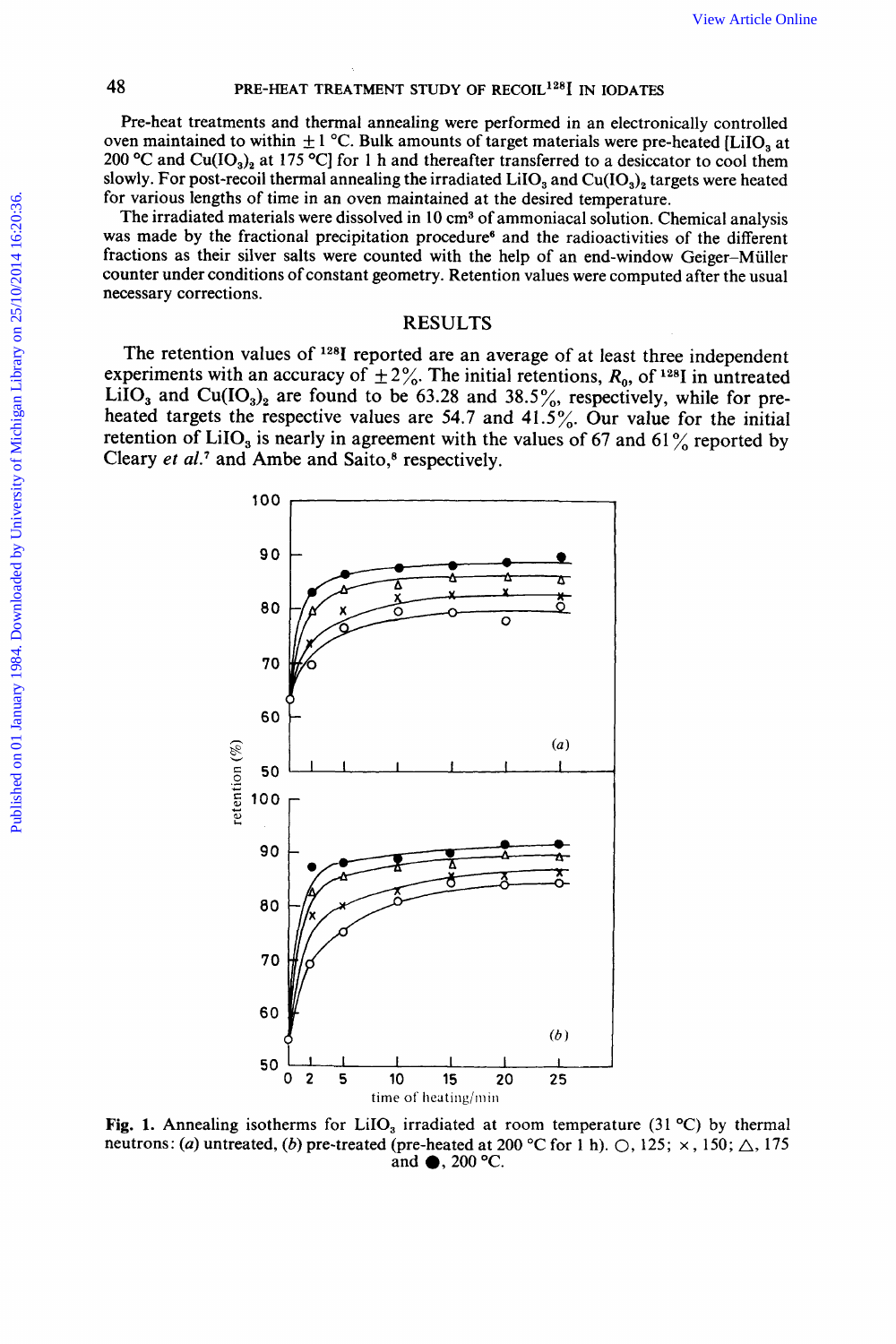**48 PRE-HEAT TREATMENT STUDY OF RECOIL<sup>128</sup>I IN IODATES Pre-heat treatments and thermal annealing were performed in an electronically controlled** Pre-heat treatments and thermal annealing were performed in an electronically controlled<br>oven maintained to within  $\pm 1^{\circ}$ C. Bulk amounts of target materials were pre-heated [LiIO<sub>3</sub> at View Article Online<br> **Over ME-HEAT TREATMENT STUDY OF RECOIL<sup>128</sup>I IN IODATES**<br> **Pre-heat treatments and thermal annealing were performed in an electronically controlled**<br>
oven maintained to within  $\pm 1$  °C. Bulk amounts **200 PRE-HEAT TREATMENT STUDY OF RECOIL<sup>128</sup>I** IN IODATES<br> **200 expective** Cu(IO<sub>3</sub>)<sub>2</sub> at 175 **°C**] for 1 h and thereafter transferred to a desiccator to cool them<br> **200 °C** and Cu(IO<sub>3</sub>)<sub>2</sub> at 175 **°C**] for 1 h an slowly. For post-recoil thermal annealing the irradiated  $LiO<sub>3</sub>$  and  $Cu(IO<sub>3</sub>)<sub>2</sub>$  targets were heated for various lengths of time in an oven maintained at the desired temperature.

The irradiated materials were dissolved in 10 cm<sup>3</sup> of ammoniacal solution. Chemical analysis was made **by** the fractional precipitation procedures and the radioactivities of the different fractions as their silver salts were counted with the help of an end-window Geiger-Muller counter under conditions of constant geometry. Retention values were computed after the usual necessary corrections.

# RESULTS

The retention values of <sup>128</sup>I reported are an average of at least three independent experiments with an accuracy of  $\pm 2\%$ . The initial retentions,  $R_0$ , of <sup>128</sup>I in untreated LiIO<sub>3</sub> and Cu(IO<sub>3</sub>)<sub>2</sub> are found to be  $63.28$  and  $38.5\%$ , respectively, while for preheated targets the respective values are **54.7** and **41.5%.** Our value for the initial retention of LiIO<sub>3</sub> is nearly in agreement with the values of 67 and 61 $\frac{6}{10}$  reported by Cleary et al.<sup>7</sup> and Ambe and Saito,<sup>8</sup> respectively. an precipitation procedure and the lational version of the distribution of the distribution of constant geometry. Retention values were computed after the usual<br>
RESULTS<br>
of <sup>128</sup>I reported are an average of at least thre



**Fig. 1.** Annealing isotherms for **LiIO,** irradiated at room temperature (31 *"C)* by thermal and @, **200** "C.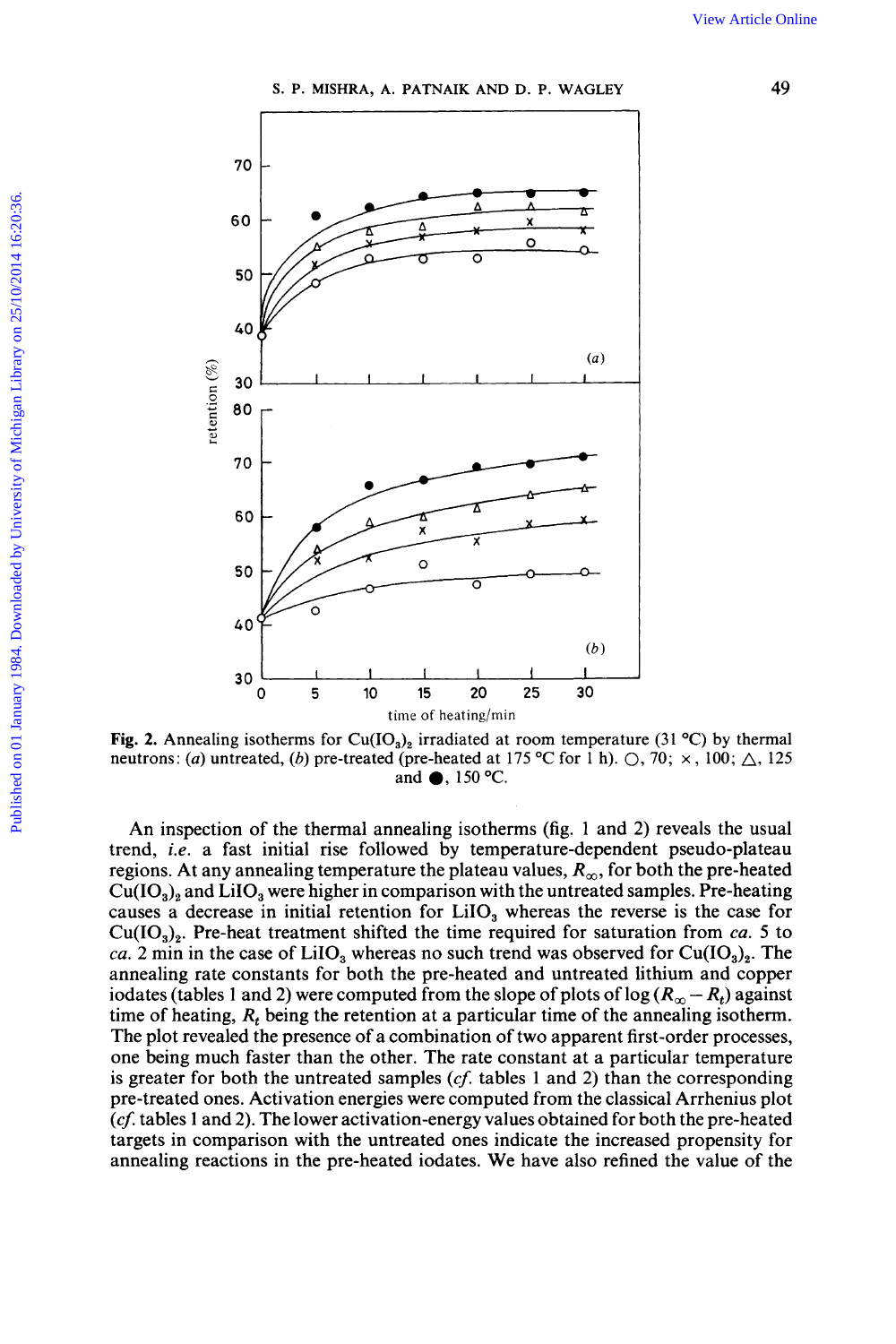S. P. MISHRA, A. PATNAIK AND D. P. WAGLEY



Fig. 2. Annealing isotherms for Cu(IO<sub>3</sub>)<sub>2</sub> irradiated at room temperature (31 °C) by thermal neutrons: (a) untreated, (b) pre-treated (pre-heated at 175 °C for 1 h).  $\bigcirc$ , 70;  $\times$ , 100;  $\bigtriangleup$ , 125 and ●, 150 °C.

An inspection of the thermal annealing isotherms (fig. 1 and 2) reveals the usual trend, *i.e.* a fast initial rise followed by temperature-dependent pseudo-plateau regions. At any annealing temperature the plateau values,  $R_{\infty}$ , for both the pre-heated  $Cu(IO<sub>3</sub>)<sub>2</sub>$  and LiIO<sub>3</sub> were higher in comparison with the untreated samples. Pre-heating causes a decrease in initial retention for LiIO<sub>3</sub> whereas the reverse is the case for  $Cu(IO<sub>3</sub>)<sub>2</sub>$ . Pre-heat treatment shifted the time required for saturation from ca. 5 to ca. 2 min in the case of LiIO<sub>3</sub> whereas no such trend was observed for Cu(IO<sub>3</sub>)<sub>2</sub>. The annealing rate constants for both the pre-heated and untreated lithium and copper iodates (tables 1 and 2) were computed from the slope of plots of  $log(R_{\infty} - R_t)$  against time of heating,  $R_t$  being the retention at a particular time of the annealing isotherm. The plot revealed the presence of a combination of two apparent first-order processes, one being much faster than the other. The rate constant at a particular temperature is greater for both the untreated samples  $(cf.$  tables 1 and 2) than the corresponding pre-treated ones. Activation energies were computed from the classical Arrhenius plot  $(cf.$  tables 1 and 2). The lower activation-energy values obtained for both the pre-heated targets in comparison with the untreated ones indicate the increased propensity for annealing reactions in the pre-heated iodates. We have also refined the value of the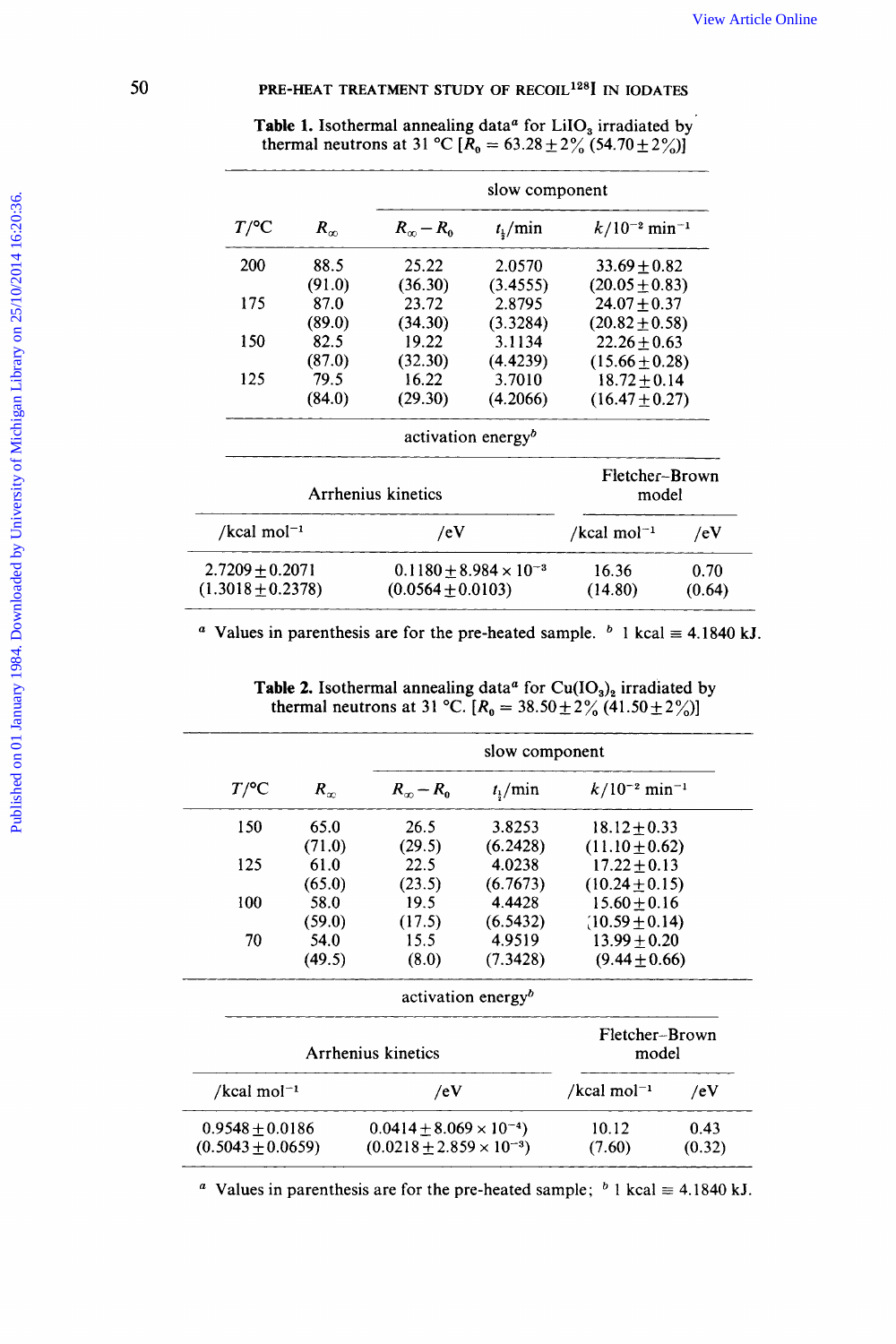| <b>Table 1.</b> Isothermal annealing data <sup><i>a</i></sup> for LiIO <sub>3</sub> irradiated by thermal neutrons at 31 °C [ $R_0 = 63.28 \pm 2\frac{9}{6}$ (54.70 $\pm 2\frac{9}{6}$ )] |                                                |
|-------------------------------------------------------------------------------------------------------------------------------------------------------------------------------------------|------------------------------------------------|
|                                                                                                                                                                                           | slow component                                 |
| $-\kappa_{0}$                                                                                                                                                                             | $t_{\rm k}$ /min $k/10^{-2}$ min <sup>-1</sup> |
| 2.0570<br>200 88.5<br>(3.4555)                                                                                                                                                            | $33.69 \pm 0.82$<br>$(20.05 \pm 0.83)$         |
| $(91.0)$<br>$87.0$<br>າາ 72<br>2.8795<br>(3.3284)                                                                                                                                         | $24.07 + 0.37$                                 |
| $(89.0)$<br>150 $(89.0)$                                                                                                                                                                  | $(20.82 \pm 0.58)$<br>$22.26 \pm 0.63$         |
| (87.0)<br>$(4.4239)$<br>3.7010<br>(32.30)<br>79.5<br>16.22                                                                                                                                | $(15.66 \pm 0.28)$<br>$3.72\pm0.14$            |
| (4.2066)<br>(29.30)<br>(84.0)                                                                                                                                                             | $(16.47 \pm 0.27)$                             |
| activation energy <sup>b</sup>                                                                                                                                                            | ________                                       |
|                                                                                                                                                                                           | Fletcher-Brown<br>model                        |

**50***PRE-HEAT TREATMENT STUDY OF RECOIL<sup>128</sup>I IN IODATES***<br><b>Table 1.** Isothermal annealing data<sup>*a*</sup> for LiIO<sub>3</sub> irradiated by **Table 1. Isothermal annealing data<sup>***a***</sup> for LiIO<sub>3</sub> irradiated by<br><b>Table 1.** Isothermal annealing data<sup>*a*</sup> for LiIO<sub>3</sub> irradiated by<br>thermal neutrons at 31 °C [ $R_0 = 63.28 \pm 2\frac{9}{6}$  (54.70  $\pm 2\frac{9}{6}$ )] View Article Online<br>
PRE-HEAT TREATMENT STUDY OF RECOIL<sup>128</sup>I IN IODATES<br>
Table 1. Isothermal annealing data<sup>*a*</sup> for LiIO<sub>3</sub> irradiated by<br>
thermal neutrons at 31 °C [ $R_0 = 63.28 \pm 2\frac{9}{6} (54.70 \pm 2\frac{9}{6})$ ]<br>
slow compo

| $2.7209 \pm 0.2071$ $0.1180 \pm 8.984 \times 10^{-3}$ $16.36$ 0.70<br>$(1.3018 \pm 0.2378)$ $(0.0564 \pm 0.0103)$ $(14.80)$ $(0.64)$ |
|--------------------------------------------------------------------------------------------------------------------------------------|
| <sup><i>a</i></sup> Values in parenthesis are for the pre-heated sample. <sup><i>b</i></sup> 1 kcal $\equiv$ 4.1840 kJ.              |
|                                                                                                                                      |

| slow component                                                                                                                        |                                                                                                                                                  |
|---------------------------------------------------------------------------------------------------------------------------------------|--------------------------------------------------------------------------------------------------------------------------------------------------|
| $T/\text{°C}$ $R_{\infty}$ $R_{\infty} - R_0$ $t_{\frac{1}{2}}/\text{min}$ $k/10^{-2} \text{min}^{-1}$                                |                                                                                                                                                  |
| $\begin{array}{r} 3.8253 \\ (6.2428) \\ 4.0238 \\ (6.7673) \\ 4.4428 \\ (6.5432) \\ 4.9519 \\ (7.3428) \end{array}$<br>26.5<br>(29.5) |                                                                                                                                                  |
| $150$ 65.0<br>$(71.0)$<br>$125$ 61.0<br>$(65.0)$<br>$100$ 58.0<br>$(59.0)$<br>$70$ 54.0                                               | $18.12 \pm 0.33$<br>(11.10 $\pm$ 0.62)<br>17.22 $\pm$ 0.15)<br>(10.24 $\pm$ 0.15)<br>15.60 $\pm$ 0.16)<br>(10.59 $\pm$ 0.14)<br>13.99 $\pm$ 0.20 |
| (23.5)                                                                                                                                |                                                                                                                                                  |
| (17.5)                                                                                                                                |                                                                                                                                                  |
| (49.5)<br>(8.0)                                                                                                                       | $(9.44 \pm 0.66)$                                                                                                                                |
| activation energy <sup>b</sup>                                                                                                        |                                                                                                                                                  |
| Arrhenius kine                                                                                                                        | Fletcher-Brown<br>model                                                                                                                          |
| /ev                                                                                                                                   | $/$ kcal mol <sup>-1</sup> /eV                                                                                                                   |
|                                                                                                                                       |                                                                                                                                                  |
| $0.0414 \pm 8.069 \times 10^{-4}$<br>(0.0218 ± 2.859 × 10 <sup>-3</sup> )                                                             | $10.12$ $0.43$<br>(7.60) $(0.32)$                                                                                                                |
|                                                                                                                                       |                                                                                                                                                  |

**Table 2.** Isothermal annealing data<sup>*a*</sup> for Cu(IO<sub>3</sub>)<sub>2</sub> irradiated by thermal neutrons at 31 °C.  $[R_0 = 38.50 \pm 2\%$  (41.50  $\pm 2\%$ )]

<sup>*a*</sup> Values in parenthesis are for the pre-heated sample; <sup>*b*</sup> 1 kcal  $\equiv$  4.1840 kJ.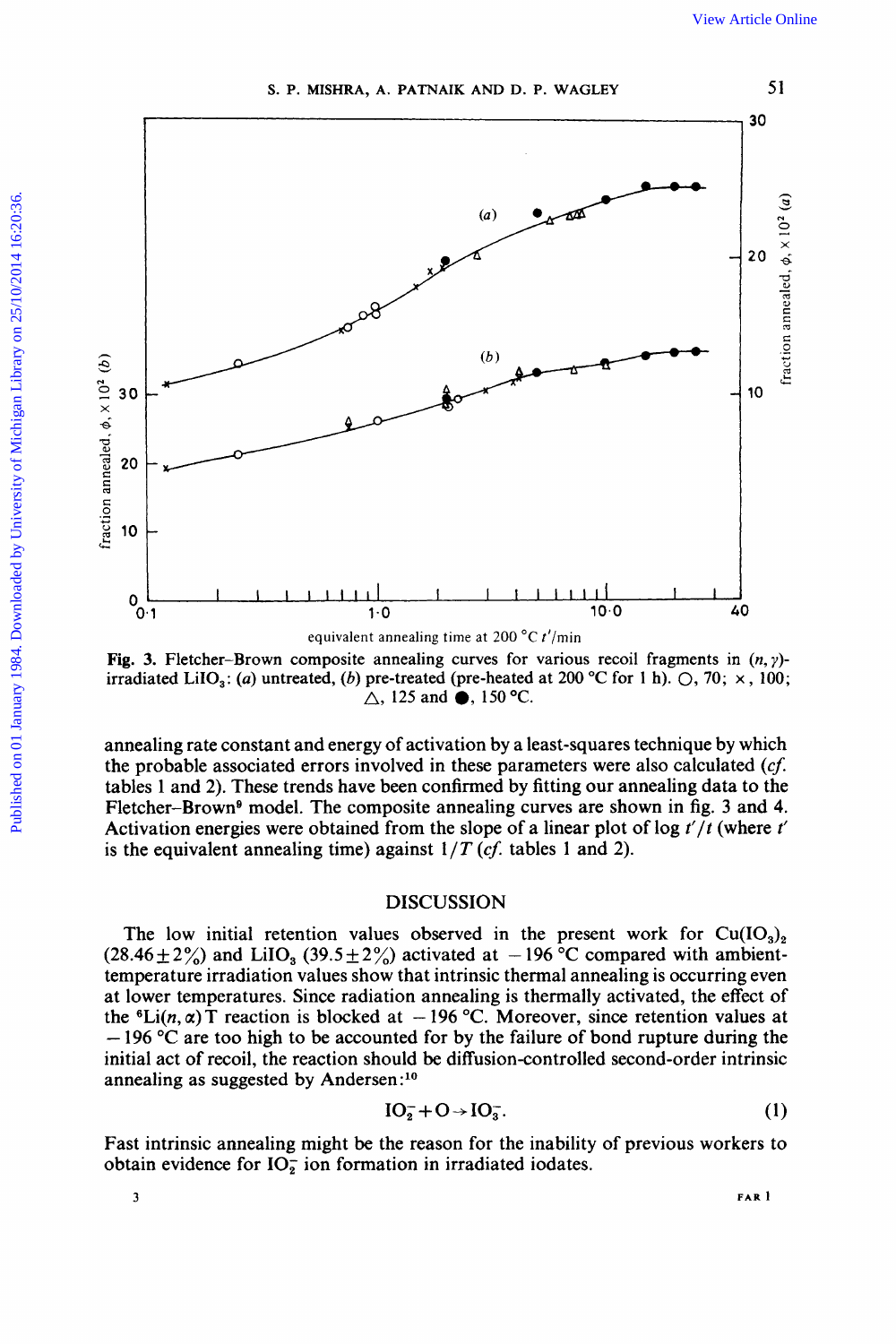



Fig. 3. Fletcher-Brown composite annealing curves for various recoil fragments in  $(n, \gamma)$ -<br>irradiated LiIO<sub>3</sub>: (*a*) untreated, (*b*) pre-treated (pre-heated at 200 °C for 1 h).  $\bigcirc$ , 70;  $\times$ , 100;

annealing rate constant and energy of activation by a least-squares technique by which the probable associated errors involved in these parameters were also calculated **(cf.**  tables 1 and 2). These trends have been confirmed by fitting our annealing data to the Fletcher-Brown<sup>9</sup> model. The composite annealing curves are shown in fig. 3 and 4. Activation energies were obtained from the slope of a linear plot of log *t'/t* (where t' is the equivalent annealing time) against  $1/T$  (*cf.* tables 1 and 2).

# **DISCUSSION**

The low initial retention values observed in the present work for  $Cu(IO<sub>3</sub>)<sub>2</sub>$  $(28.46\pm2\%)$  and LiIO<sub>3</sub> (39.5  $\pm$  2%) activated at -196 °C compared with ambienttemperature irradiation values show that intrinsic thermal annealing is occurring even at lower temperatures. Since radiation annealing is thermally activated, the effect of the <sup>6</sup>Li(n,  $\alpha$ ) T reaction is blocked at  $-196$  °C. Moreover, since retention values at - <sup>196</sup>*"C* are too high to be accounted for by the failure of bond rupture during the initial act of recoil, the reaction should be diffusion-controlled second-order intrinsic annealing as suggested by Andersen:1°

$$
IO_2^- + O \rightarrow IO_3^-.
$$
 (1)

Fast intrinsic annealing might be the reason for the inability of previous workers to obtain evidence for  $IO_2^-$  ion formation in irradiated iodates.

**3 FAR 1**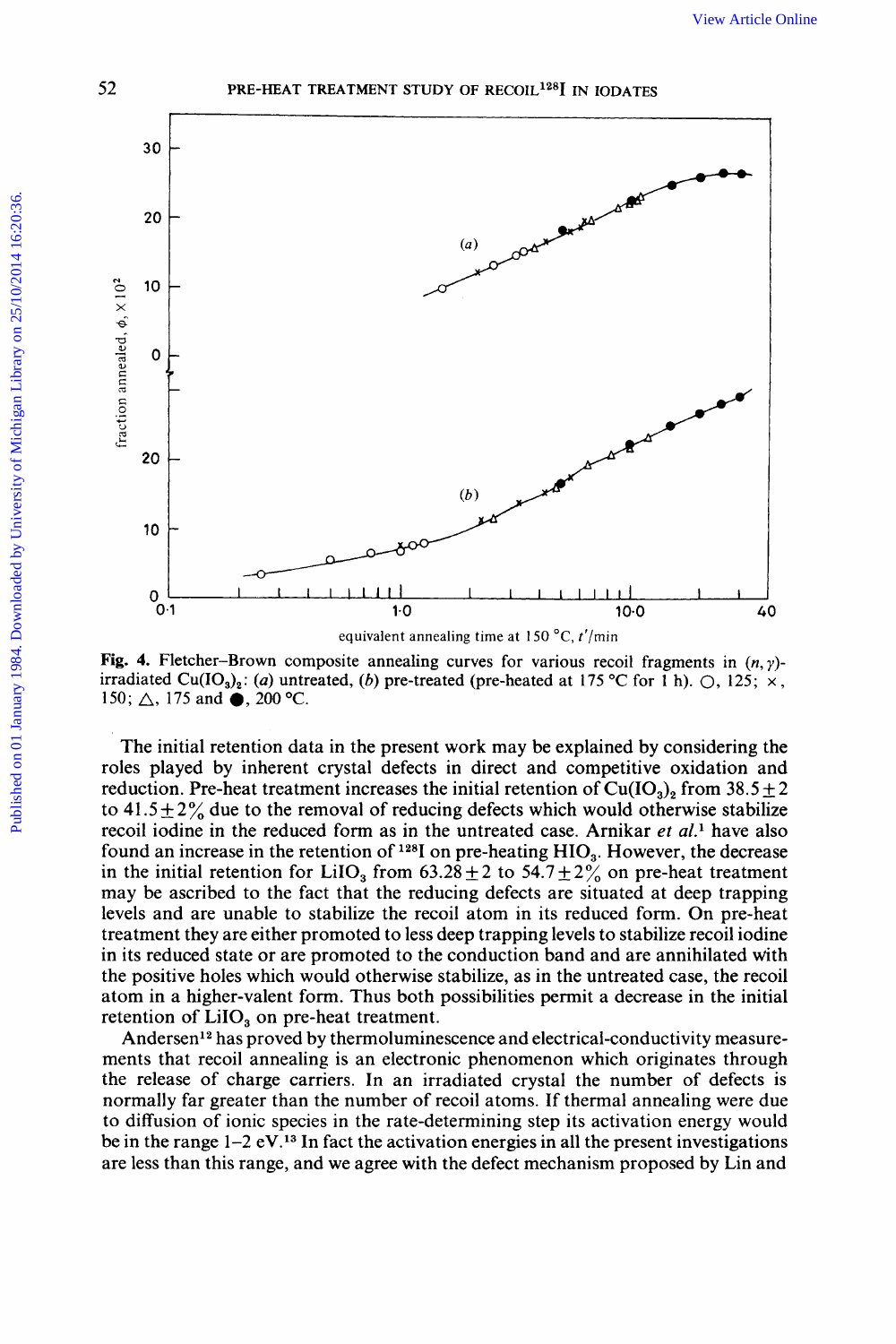



Fig. 4. Fletcher–Brown composite annealing curves for various recoil fragments in  $(n, y)$ irradiated Cu(IO<sub>3</sub>)<sub>2</sub>: (a) untreated, (b) pre-treated (pre-heated at 175 °C for 1 h).  $\bigcirc$ , 125;  $\times$ , 150;  $\triangle$ , 175 and  $\bullet$ , 200 °C.

The initial retention data in the present work may be explained by considering the roles played by inherent crystal defects in direct and competitive oxidation and reduction. Pre-heat treatment increases the initial retention of  $Cu(IO<sub>3</sub>)<sub>2</sub>$  from 38.5  $\pm$  2 to 41.5  $\pm$  2% due to the removal of reducing defects which would otherwise stabilize recoil iodine in the reduced form as in the untreated case. Arnikar et al.<sup>1</sup> have also found an increase in the retention of  $128$ I on pre-heating HIO<sub>3</sub>. However, the decrease in the initial retention for LiIO<sub>3</sub> from 63.28  $\pm$  2 to 54.7  $\pm$  2% on pre-heat treatment may be ascribed to the fact that the reducing defects are situated at deep trapping levels and are unable to stabilize the recoil atom in its reduced form. On pre-heat treatment they are either promoted to less deep trapping levels to stabilize recoil iodine in its reduced state or are promoted to the conduction band and are annihilated with the positive holes which would otherwise stabilize, as in the untreated case, the recoil atom in a higher-valent form. Thus both possibilities permit a decrease in the initial retention of  $LiIO<sub>3</sub>$  on pre-heat treatment.

Andersen<sup>12</sup> has proved by thermoluminescence and electrical-conductivity measurements that recoil annealing is an electronic phenomenon which originates through the release of charge carriers. In an irradiated crystal the number of defects is normally far greater than the number of recoil atoms. If thermal annealing were due to diffusion of ionic species in the rate-determining step its activation energy would be in the range  $1-2$  eV.<sup>13</sup> In fact the activation energies in all the present investigations are less than this range, and we agree with the defect mechanism proposed by Lin and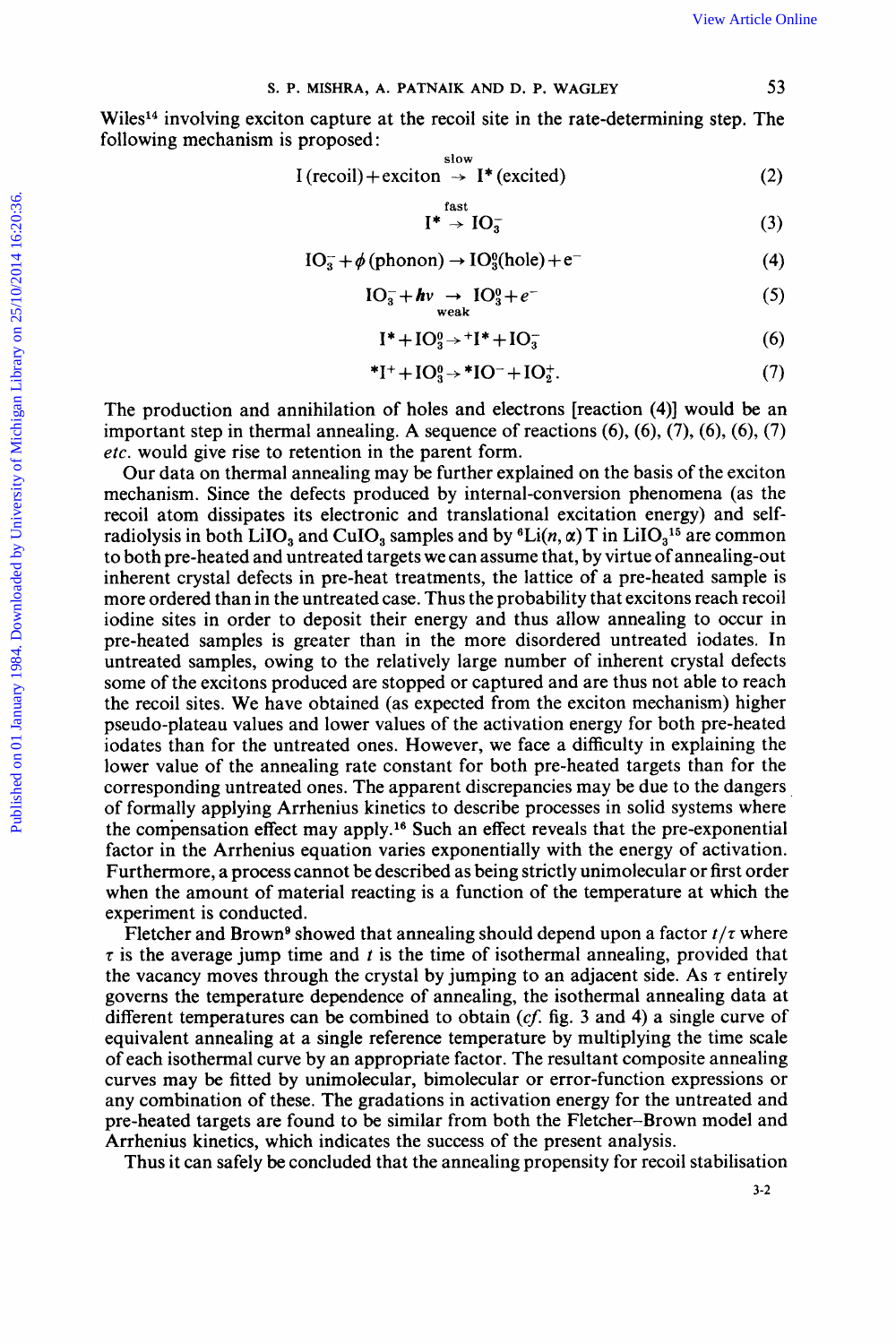**S. P. MISHRA, A. PATNAIK AND D. P.** 

Wiles<sup>14</sup> involving exciton capture at the recoil site in the rate-determining step. The following mechanism is proposed View Article Online<br> **EXECUTE 1998 AT AND D. P. WAGLEY**<br>
23<br>
at the recoil site in the rate-determining step. The<br>
29<br>
29 View Article Online<br> **WAGLEY** 53<br> **53**<br> **53**<br> **53**<br> **53 IXAIK AND D. P. WAGLEY** 53<br> **I** recoil site in the rate-determining step. The<br>  $\sinh \theta \to I^*$  (excited) (2)<br>  $I^* \to IO_3^-$  (3)<br>  $\sinh \to IO_3^0$ (hole) + e<sup>-</sup> (4) capture at the recoil site in the rate-determining step. The<br>
roposed:<br>  $(\text{recoil}) + \text{exciton} \rightarrow \text{I}^*(\text{excited})$  (2)<br>  $\text{I}^* \rightarrow \text{IO}_3^-$  (3)<br>  $\text{IO}_3^- + \phi(\text{phonon}) \rightarrow \text{IO}_3^0(\text{hole}) + e^-$  (4)<br>  $\text{IO}_3^- + h v \rightarrow \text{IO}_3^0 + e^-$  (5)

$$
I (recoil) + exciton \rightarrow I^{*} (excited)
$$
 (2)

$$
*\rightarrow\text{IO}^-_2\tag{3}
$$

$$
IO3- + \phi (phonon) \rightarrow IO30(hole) + e^-
$$
 (4)

$$
I^* \rightarrow IO_3^-
$$
 (3)  
(phonon)  $\rightarrow IO_3^0(hole) + e^-$  (4)  

$$
IO_3^- + hv \rightarrow IO_3^0 + e^-
$$
 (5)  
weak  

$$
I^* + IO_2^0 \rightarrow I^* + IO_3^-
$$
 (6)

$$
\mathrm{I}^* + \mathrm{IO}_3^0 \rightarrow {}^+ \mathrm{I}^* + \mathrm{IO}_3^- \tag{6}
$$

$$
*I^+ + IO_3^0 \rightarrow *IO^- + IO_2^+.
$$
 (7)

The production and annihilation of holes and electrons [reaction **(4)]** would be an important step in thermal annealing. A sequence of reactions (6), (6), (7), (6), **(6),** (7) *etc.* would give rise to retention in the parent form.

Our data on thermal annealing may be further explained on the basis of the exciton mechanism. Since the defects produced by internal-conversion phenomena (as the recoil atom dissipates its electronic and translational excitation energy) and self-<br>radiolysis in both LiIO<sub>3</sub> and CuIO<sub>3</sub> samples and by <sup>6</sup>Li(*n*,  $\alpha$ ) T in LiIO<sub>3</sub><sup>15</sup> are common The production and annihilation of holes and electrons [reaction (4)] would be an<br>important step in thermal annealing. A sequence of reactions (6), (6), (7), (6), (6), (7)<br>*etc.* would give rise to retention in the parent to both pre-heated and untreated targets we can assume that, by virtue of annealing-out inherent crystal defects in pre-heat treatments, the lattice **of** a pre-heated sample is more ordered than in the untreated case. Thus the probability that excitons reach recoil iodine sites in order to deposit their energy and thus allow annealing to occur in pre-heated samples is greater than in the more disordered untreated iodates. In untreated samples, owing to the relatively large number of inherent crystal defects some of the excitons produced are stopped or captured and are thus not able to reach the recoil sites. We have obtained (as expected from the exciton mechanism) higher pseudo-plateau values and lower values of the activation energy for both pre-heated iodates than for the untreated ones. However, we face a difficulty in explaining the lower value of the annealing rate constant for both pre-heated targets than for the corresponding untreated ones. The apparent discrepancies may be due to the dangers of formally applying Arrhenius kinetics to describe processes in solid systems where the compensation effect may apply.16 Such an effect reveals that the pre-exponential factor in the Arrhenius equation varies exponentially with the energy of activation. Furthermore, a process cannot be described as being strictly unimolecular or first order when the amount of material reacting is a function of the temperature at which the experiment is conducted.<br>Fletcher and Brown<sup>9</sup> showed that annealing should depend upon a factor  $t/\tau$  where Fresponding untreated ones. The apparent discrepancies may be due to the dangers<br>formally applying Arrhenius kinetics to describe processes in solid systems where<br>e compensation effect may apply.<sup>16</sup> Such an effect reveal

 $\tau$  is the average jump time and  $t$  is the time of isothermal annealing, provided that the vacancy moves through the crystal by jumping to an adjacent side. As  $\tau$  entirely governs the temperature dependence of annealing, the isothermal annealing data at different temperatures can be combined to obtain  $(cf.$  fig. 3 and 4) a single curve of Furthermore, a process cannot be described as being strictly unimolecular or first order<br>when the amount of material reacting is a function of the temperature at which the<br>experiment is conducted.<br>Fletcher and Brown<sup>9</sup> sh equivalent annealing at a single reference temperature by multiplying the time scale of each isothermal curve by an appropriate factor. The resultant composite annealing curves may be fitted by unimolecular, bimolecular or error-function expressions or any combination of these. The gradations in activation energy for the untreated and pre-heated targets are found to be similar from both the Fletcher-Brown model and Arrhenius kinetics, which indicates the success of the present analysis.

Thus it can safely be concluded that the annealing propensity for recoil stabilisation